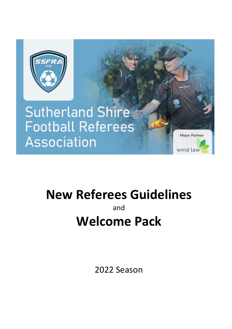

# **Sutherland Shire Football Referees Association**

**New Referees Guidelines** and

Major Partner:

wmd law

# **Welcome Pack**

2022 Season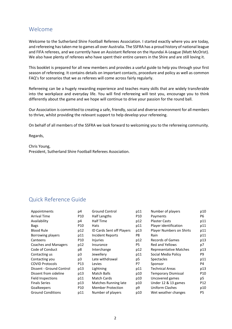## Welcome

Welcome to the Sutherland Shire Football Referees Association. I started exactly where you are today, and refereeing has taken me to games all over Australia. The SSFRA has a proud history of national league and FIFA referees, and we currently have an Assistant Referee on the Hyundai A-League (Matt McOrist). We also have plenty of referees who have spent their entire careers in the Shire and are still loving it.

This booklet is prepared for all new members and provides a useful guide to help you through your first season of refereeing. It contains details on important contacts, procedure and policy as well as common FAQ's for scenarios that we as referees will come across fairly regularly.

Refereeing can be a hugely rewarding experience and teaches many skills that are widely transferable into the workplace and everyday life. You will find refereeing will test you, encourage you to think differently about the game and we hope will continue to drive your passion for the round ball.

Our Association is committed to creating a safe, friendly, social and diverse environment for all members to thrive, whilst providing the relevant support to help develop your refereeing.

On behalf of all members of the SSFRA we look forward to welcoming you to the refereeing community.

Regards,

Chris Young, President, Sutherland Shire Football Referees Association.

## Quick Reference Guide

| Appointments                | p4              | <b>Ground Control</b>            | p11 | Number of players               | p10             |
|-----------------------------|-----------------|----------------------------------|-----|---------------------------------|-----------------|
| <b>Arrival Time</b>         | P10             | Half Lengths                     | P10 | Payments                        | P6              |
| Availability                | p4              | <b>Half Time</b>                 | p12 | <b>Plaster Casts</b>            | p11             |
| <b>Bags</b>                 | P <sub>10</sub> | <b>Hats</b>                      | p11 | Player identification           | p11             |
| <b>Blood Rule</b>           | p12             | <b>ID Cards Sent off Players</b> | p13 | <b>Player Numbers on Shirts</b> | p11             |
| Borrowing players           | p11             | Incident Reports                 | P8  | Rain                            | p11             |
| Canteens                    | P10             | <b>Injuries</b>                  | p12 | Records of Games                | p13             |
| <b>Coaches and Managers</b> | p12             | Insurance                        | P5  | <b>Red and Yellows</b>          | p7              |
| Code of Conduct             | p8              | Interchange                      | p12 | <b>Representative Matches</b>   | p13             |
| Contacting us               | p3              | Jewellery                        | p11 | Social Media Policy             | P9              |
| Contacting you              | p3              | Late withdrawal                  | p5  | <b>Spectacles</b>               | p11             |
| <b>COVID Protocols</b>      | P <sub>13</sub> | Levies                           | P7  | Sponsor                         | P4              |
| Dissent - Ground Control    | p13             | Lightning                        | p11 | Technical Areas                 | p13             |
| Dissent from sideline       | p13             | Match Balls                      | p10 | Temporary Dismissal             | P <sub>10</sub> |
| Field Inspections           | p11             | Match Cards                      | p10 | Uncovered games                 | p5              |
| <b>Finals Series</b>        | p13             | Matches Running late             | p10 | Under 12 & 13 games             | P <sub>12</sub> |
| Goalkeepers                 | P <sub>10</sub> | <b>Member Protection</b>         | p9  | Uniform Clashes                 | p10             |
| <b>Ground Conditions</b>    | p11             | Number of players                | p10 | Wet weather changes             | P <sub>5</sub>  |
|                             |                 |                                  |     |                                 |                 |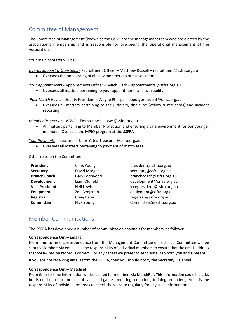## Committee of Management

The Committee of Management (known as the CoM) are the management team who are elected by the association's membership and is responsible for overseeing the operational management of the Association.

Your main contacts will be:

*Overall Support & Questions -* Recruitment Officer – Matthew Russell – recruitment@ssfra.org.au

• Oversees the onboarding of all new members to our association.

*Your Appointments -* Appointments Officer – Mitch Clark – appointments @ssfra.org.au

• Oversees all matters pertaining to your appointments and availability.

*Post-Match Issues -* Deputy President – Wayne Phillips - deputypresident@ssfra.org.au

• Oversees all matters pertaining to the judiciary, discipline (yellow & red cards) and incident reporting

*Member Protection -* WWC – Emma Lewis - wwc@ssfra.org.au

• All matters pertaining to Member Protection and ensuring a safe environment for our younger members. Overseas the MPIO program at the SSFRA

*Your Payments -* Treasurer – Chris Yates treasurer@ssfra.org.au

• Oversees all matters pertaining to payment of match fees

Other roles on the Committee:

| President             | Chris Young       | president@ssfra.org.au     |
|-----------------------|-------------------|----------------------------|
| <b>Secretary</b>      | David Morgan      | secretary@ssfra.org.au     |
| <b>Branch Coach</b>   | Gary Lockwood     | branchcoach@ssfra.org.au   |
| <b>Development</b>    | Liam Oldfield     | development@ssfra.org.au   |
| <b>Vice President</b> | <b>Neil Lewis</b> | vicepresident@ssfra.org.au |
| Equipment             | Zoe Benjamin      | equipment@ssfra.org.au     |
| Registrar             | Craig Lister      | registrar@ssfra.org.au     |
| <b>Committee</b>      | Nick Young        | Committee2@ssfra.org.au    |

## Member Communications

The SSFRA has developed a number of communication channels for members, as follows:

#### **Correspondence Out – Emails**

From time-to-time correspondence from the Management Committee or Technical Committee will be sent to Members via email. It is the responsibility of individual members to ensure that the email address that SSFRA has on record is correct. For any cadets we prefer to send emails to both you and a parent.

If you are not receiving emails from the SSFRA, then you should notify the Secretary via email.

#### **Correspondence Out – Matchref**

From time-to-time information will be posted for members via MatchRef. This information could include, but is not limited to, notices of cancelled games, meeting reminders, training reminders, etc. It is the responsibility of individual referees to check the website regularly for any such information.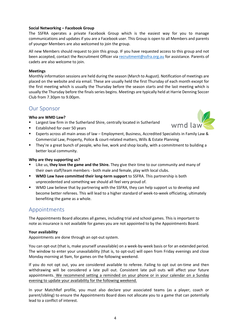#### **Social Networking – Facebook Group**

The SSFRA operates a private Facebook Group which is the easiest way for you to manage communications and updates if you are a Facebook user. This Group is open to all Members and parents of younger Members are also welcomed to join the group.

All new Members should request to join this group. IF you have requested access to this group and not been accepted, contact the Recruitment Officer vi[a recruitment@ssfra.org.au](mailto:recruitment@ssfra.org.au) for assistance. Parents of cadets are also welcome to join.

#### **Meetings**

Monthly information sessions are held during the season (March to August). Notification of meetings are placed on the website and via email. These are usually held the first Thursday of each month except for the first meeting which is usually the Thursday before the season starts and the last meeting which is usually the Thursday before the finals series begins. Meetings are typically held at Harrie Denning Soccer Club from 7.30pm to 9.00pm.

## Our Sponsor

#### **Who are WMD Law?**

- Largest law firm in the Sutherland Shire, centrally located in Sutherland
- **Established for over 50 years**
- Experts across all main areas of law Employment, Business, Accredited Specialists in Family Law & Commercial Law, Property, Police & court-related matters, Wills & Estate Planning

wmd lay

**They're a great bunch of people, who live, work and shop locally, with a commitment to building a** better local community.

#### **Why are they supporting us?**

- Like us, **they love the game and the Shire.** They give their time to our community and many of their own staff/team members - both male and female, play with local clubs.
- **WMD Law have committed their long-term support** to SSFRA. This partnership is both unprecedented and something we should all feel very proud of.
- WMD Law believe that by partnering with the SSFRA, they can help support us to develop and become better referees. This will lead to a higher standard of week-to-week officiating, ultimately benefiting the game as a whole.

## Appointments

The Appointments Board allocates all games, including trial and school games. This is important to note as insurance is not available for games you are not appointed to by the Appointments Board.

#### **Your availability**

Appointments are done through an opt-out system.

You can opt-out (that is, make yourself unavailable) on a week-by-week basis or for an extended period. The window to enter your unavailability (that is, to opt-out) will open from Friday evenings and close Monday morning at 9am, for games on the following weekend.

If you do not opt out, you are considered available to referee. Failing to opt out on-time and then withdrawing will be considered a late pull out. Consistent late pull outs will affect your future appointments. We recommend setting a reminded on your phone or in your calendar on a Sunday evening to update your availability for the following weekend.

In your MatchRef profile, you must also declare your associated teams (as a player, coach or parent/sibling) to ensure the Appointments Board does not allocate you to a game that can potentially lead to a conflict of interest.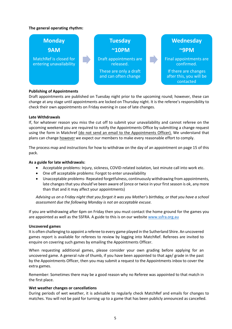#### **The general operating rhythm:**



#### **Publishing of Appointments**

Draft appointments are published on Tuesday night prior to the upcoming round; however, these can change at any stage until appointments are locked on Thursday night. It is the referee's responsibility to check their own appointments on Friday evening in case of late changes.

#### **Late Withdrawals**

If, for whatever reason you miss the cut off to submit your unavailability and cannot referee on the upcoming weekend you are required to notify the Appointments Office by submitting a change request using the form in Matchref (do not send an email to the Appointments Officer). We understand that plans can change **however** we expect our members to make every reasonable effort to comply.

The process map and instructions for how to withdraw on the day of an appointment on page 15 of this pack.

#### **As a guide for late withdrawals:**

- Acceptable problems: Injury, sickness, COVID-related isolation, last minute call into work etc.
- One off acceptable problems: Forgot to enter unavailability
- Unacceptable problems- Repeated forgetfulness, continuously withdrawing from appointments, late changes that you should've been aware of (once or twice in your first season is ok, any more than that and it may affect your appointments)

*Advising us on a Friday night that you forgot it was you Mother's birthday, or that you have a school assessment due the following Monday is not an acceptable excuse.*

If you are withdrawing after 6pm on Friday then you must contact the home ground for the games you are appointed as well as the SSFRA. A guide to this is on our website [www.ssfra.org.au](http://www.ssfra.org.au/)

#### **Uncovered games**

It is often challenging to appoint a referee to every game played in the Sutherland Shire. An uncovered games report is available for referees to review by logging into MatchRef. Referees are invited to enquire on covering such games by emailing the Appointments Officer.

When requesting additional games, please consider your own grading before applying for an uncovered game. A general rule of thumb, if you have been appointed to that age/ grade in the past by the Appointments Officer, then you may submit a request to the Appointments inbox to cover the extra games.

Remember: Sometimes there may be a good reason why no Referee was appointed to that match in the first place.

#### **Wet weather changes or cancellations**

During periods of wet weather, it is advisable to regularly check MatchRef and emails for changes to matches. You will not be paid for turning up to a game that has been publicly announced as cancelled.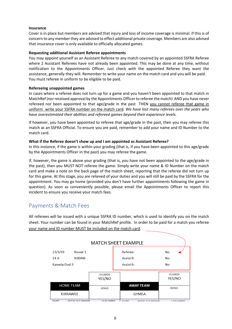#### **Insurance**

Cover is in place but members are advised that injury and loss of income coverage is minimal. If this is of concern to any member they are advised to effect additional private coverage. Members are also advised that insurance cover is only available to officially allocated games.

#### **Requesting additional Assistant Referee appointments**

You may appoint yourself as an Assistant Referee to any match covered by an appointed SSFRA Referee where 2 Assistant Referees have not already been appointed. This may be done at any time, without notification to the Appointments Officer. Just check with the appointed Referee they want the assistance, generally they will. Remember to write your name on the match card and you will be paid. You must referee in uniform to be eligible to be paid.

#### **Refereeing unappointed games**

In cases where a referee does not turn up for a game and you haven't been appointed to that match in MatchRef (nor received approval by the Appointments Officer to referee the match) AND you have never refereed nor been appointed to that age/grade in the past THEN you cannot referee that game in uniform write your SSFRA number on the match card. *We have lost many referees over the years who have overestimated their abilities and refereed games beyond their experience levels.*

If however, you have been appointed to referee that age/grade in the past, then you may referee this match as an SSFRA Official. To ensure you are paid, remember to add your name and ID Number to the match card.

#### **What if the Referee doesn't show up and I am appointed as Assistant Referee?**

In this instance, if the game is within your grading (that is, if you have been appointed to this age/grade by the Appointments Officer in the past) you may referee the game.

If, however, the game is above your grading (that is, you have not been appointed to the age/grade in the past), then you MUST NOT referee the game. Simply write your name & ID Number on the match card and make a note on the back page of the match sheet, reporting that the referee did not turn up for this game. At this stage, you are relieved of your duties and you will still be paid by the SSFRA for the appointment. You may go home (provided you don't have further appointments following the game in question). As soon as conveniently possible, please email the Appointments Officer to report this incident to ensure you receive your match fees.

## Payments & Match Fees

All referees will be issued with a unique SSFRA ID number, which is used to identify you on the match sheet. Your number can be found in your MatchRef profile. In order to be paid for a match you referee your name and ID number MUST be included on the match card.

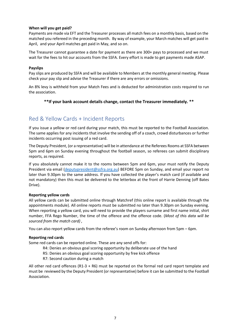#### **When will you get paid?**

Payments are made via EFT and the Treasurer processes all match fees on a monthly basis, based on the matched you refereed in the preceding month. By way of example, your March matches will get paid in April, and your April matches get paid in May, and so on.

The Treasurer cannot guarantee a date for payment as there are 300+ pays to processed and we must wait for the fees to hit our accounts from the SSFA. Every effort is made to get payments made ASAP.

#### **Payslips**

Pay slips are produced by SSFA and will be available to Members at the monthly general meeting. Please check your pay slip and advise the Treasurer if there are any errors or omissions.

An 8% levy is withheld from your Match Fees and is deducted for administration costs required to run the association.

#### **\*\*If your bank account details change, contact the Treasurer immediately. \*\***

## Red & Yellow Cards + Incident Reports

If you issue a yellow or red card during your match, this must be reported to the Football Association. The same applies for any incidents that involve the sending off of a coach, crowd disturbances or further incidents occurring post issuing of a red card.

The Deputy President, (or a representative) will be in attendance at the Referees Rooms at SSFA between 5pm and 6pm on Sunday evening throughout the football season, so referees can submit disciplinary reports, as required.

If you absolutely cannot make it to the rooms between 5pm and 6pm, your must notify the Deputy President via email [\(deputypresident@ssfra.org.au\)](mailto:deputypresident@ssfra.org.au)B) BEFORE 5pm on Sunday, and email your report no later than 9.30pm to the same address. If you have collected the player's match card (if available and not mandatory) then this must be delivered to the letterbox at the front of Harrie Denning (off Bates Drive).

#### **Reporting yellow cards**

All yellow cards can be submitted online through Matchref (this online report is available through the appointments module). All online reports must be submitted no later than 9.30pm on Sunday evening. When reporting a yellow card, you will need to provide the players surname and first name initial, shirt number, FFA Rego Number, the time of the offence and the offence code. (*Most of this data will be sourced from the match card) ,*

You can also report yellow cards from the referee's room on Sunday afternoon from 5pm – 6pm.

#### **Reporting red cards**

Some red cards can be reported online. These are any send offs for:

- R4: Denies an obvious goal scoring opportunity by deliberate use of the hand
- R5: Denies an obvious goal scoring opportunity by free kick offence
- R7: Second caution during a match

All other red card offences (R1-3 + R6) must be reported on the formal red card report template and must be reviewed by the Deputy President (or representative) before it can be submitted to the Football Association.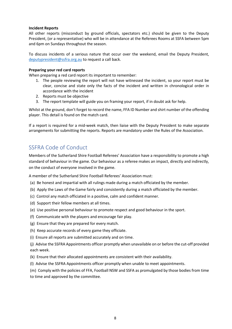#### **Incident Reports**

All other reports (misconduct by ground officials, spectators etc.) should be given to the Deputy President, (or a representative) who will be in attendance at the Referees Rooms at SSFA between 5pm and 6pm on Sundays throughout the season.

To discuss incidents of a serious nature that occur over the weekend, email the Deputy President, [deputypresident@ssfra.org.au](mailto:deputypresident@ssfra.org.au)B) to request a call back.

#### **Preparing your red card reports**

When preparing a red card report its important to remember:

- 1. The people reviewing the report will not have witnessed the incident, so your report must be clear, concise and state only the facts of the incident and written in chronological order in accordance with the incident
- 2. Reports must be objective
- 3. The report template will guide you on framing your report, if in doubt ask for help.

Whilst at the ground, don't forget to record the name, FFA ID Number and shirt number of the offending player. This detail is found on the match card.

If a report is required for a mid-week match, then liaise with the Deputy President to make separate arrangements for submitting the reports. Reports are mandatory under the Rules of the Association.

## SSFRA Code of Conduct

Members of the Sutherland Shire Football Referees' Association have a responsibility to promote a high standard of behaviour in the game. Our behaviour as a referee makes an impact, directly and indirectly, on the conduct of everyone involved in the game.

A member of the Sutherland Shire Football Referees' Association must:

- (a) Be honest and impartial with all rulings made during a match officiated by the member.
- (b) Apply the Laws of the Game fairly and consistently during a match officiated by the member.
- (c) Control any match officiated in a positive, calm and confident manner.
- (d) Support their fellow members at all times.
- (e) Use positive personal behaviour to promote respect and good behaviour in the sport.
- (f) Communicate with the players and encourage fair play.
- (g) Ensure that they are prepared for every match.
- (h) Keep accurate records of every game they officiate.
- (i) Ensure all reports are submitted accurately and on time.
- (j) Advise the SSFRA Appointments officer promptly when unavailable on or before the cut-off provided each week.
- (k) Ensure that their allocated appointments are consistent with their availability.
- (l) Advise the SSFRA Appointments officer promptly when unable to meet appointments.
- (m) Comply with the policies of FFA, Football NSW and SSFA as promulgated by those bodies from time to time and approved by the committee.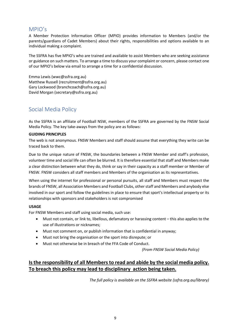## MPIO's

A Member Protection Information Officer (MPIO) provides information to Members (and/or the parents/guardians of Cadet Members) about their rights, responsibilities and options available to an individual making a complaint.

The SSFRA has five MPIO's who are trained and available to assist Members who are seeking assistance or guidance on such matters. To arrange a time to discuss your complaint or concern, please contact one of our MPIO's below via email to arrange a time for a confidential discussion.

Emma Lewis (wwc@ssfra.org.au) Matthew Russell (recruitment@ssfra.org.au) Gary Lockwood (branchcoach@ssfra.org.au) David Morgan (secretary@ssfra.org.au)

## Social Media Policy

As the SSFRA is an affiliate of Football NSW, members of the SSFRA are governed by the FNSW Social Media Policy. The key take-aways from the policy are as follows:

#### **GUIDING PRINCIPLES**

The web is not anonymous. FNSW Members and staff should assume that everything they write can be traced back to them.

Due to the unique nature of FNSW, the boundaries between a FNSW Member and staff's profession, volunteer time and social life can often be blurred. It is therefore essential that staff and Members make a clear distinction between what they do, think or say in their capacity as a staff member or Member of FNSW. FNSW considers all staff members and Members of the organisation as its representatives.

When using the internet for professional or personal pursuits, all staff and Members must respect the brands of FNSW, all Association Members and Football Clubs, other staff and Members and anybody else involved in our sport and follow the guidelines in place to ensure that sport's intellectual property or its relationships with sponsors and stakeholders is not compromised

#### **USAGE**

For FNSW Members and staff using social media, such use:

- Must not contain, or link to, libellous, defamatory or harassing content this also applies to the use of illustrations or nicknames;
- Must not comment on, or publish information that is confidential in anyway;
- Must not bring the organisation or the sport into disrepute; or
- Must not otherwise be in breach of the FFA Code of Conduct.

*(From FNSW Social Media Policy)*

## **Is the responsibility of all Members to read and abide by the social media policy. To breach this policy may lead to disciplinary action being taken.**

*The full policy is available on the SSFRA website (ssfra.org.au/library)*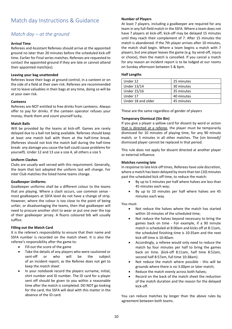# Match day Instructions & Guidance

## *Match day – at the ground*

#### **Arrival Time**

Referees and Assistant Referees should arrive at the appointed ground no later than 20 minutes before the scheduled kick-off time. Earlier for Final series matches. Referees are requested to contact the appointed ground if they are late or cannot attend their appointed match(es).

#### **Leaving your bag unattended**

Referees leave their bags at ground control, in a canteen or on the side of a field at their own risk. Referees are recommended not to leave valuables in their bags at any time, doing so will be at your own risk.

#### **Canteens**

Referees are NOT entitled to free drinks from canteens. Always offer to pay for drinks. If the canteen operator refuses your money, thank them and count yourself lucky.

#### **Match Balls**

Will be provided by the teams at kick-off. Games are rarely delayed due to a ball not being available. Referees should keep at least one match ball with them at the half-time break. (Referees should not kick the match ball during the half-time break- any damage you cause the ball could cause problems for yourself). Under 12 and 13 use a size 4, all others a size 5

#### **Uniform Clashes**

Clubs are usually well versed with this requirement. Generally, the team that last adopted the uniform last will change. For inter Club matches the listed home teams change.

#### **Goalkeeper Uniforms**

Goalkeeper uniforms shall be a different colour to the teams that are playing. Where a clash occurs, use common sense most goalkeepers at SSFA level do not have a change of strip. However, where the colour is too close to the point of being unfair, or disadvantaging the teams, then that goalkeeper will need to procure another shirt to wear or put one over the top of their goalkeeper jersey. A fluoro coloured bib will usually suffice.

#### **Filling out the Match Card**

It is the referee's responsibility to ensure that their name and SSFA number is recorded on the match sheet. It is also the referee's responsibility after the game to:

- Fill out the score of the game
- Take the details of any players who were cautioned or sent-off or who will be the subject of an incident report, as the Referee does not get to keep the match sheet
- In your notebook record the players surname, initial, shirt number and ID number. The ID card for a player sent off should be given to you within a reasonable time after the match is completed. DO NOT go looking for the card, the SSFA will deal with this matter in the absence of the ID card.

#### **Number of Players**

At least 7 players, including a goalkeeper are required for any team in any full-field match in the SSFA. Where a team does not have 7 players at kick-off, kick-off may be delayed 15 minutes until they reach their complement of 7. After 15 minutes the match is abandoned. If the 7th player arrives after 10 minutes, the match shall begin. Where a team begins a match with 7 players, but one player leaves the game (e.g. by send-off, injury or choice), then the match is cancelled. lf you cancel a match for any reason an incident report is to be lodged at our rooms on Sunday afternoon between 5 & 6pm.

#### **Half Lengths**

| Under 12           | 25 minutes |
|--------------------|------------|
| Under 13/14        | 30 minutes |
| Under 15/16        | 35 minutes |
| Under 17           | 40 minutes |
| Under 18 and older | 45 minutes |

These are the same regardless of gender of players

#### **Temporary Dismissal (Sin Bin)**

If you give a player a yellow card for dissent by word or action that is directed at a referee, the player must be temporarily dismissed for 10 minutes of playing time, for any 90 minute match, or 5 minutes in all other matches. The [sin binned]/ dismissed player cannot be replaced in that period.

This rule does not apply for dissent directed at another player or external influence.

#### **Matches running late**

In response to late kick-off times, Referees have sole discretion, where a match has been delayed by more than ten (10) minutes past the scheduled kick off time, to reduce the match:

- By up to 5 minutes per half where halves are less than 45 minutes each way;
- By up to 10 minutes per half where halves are 45 minutes each way.

#### You must:

- Not reduce the halves where the match has started within 10 minutes of the scheduled time;
- Not reduce the halves beyond necessary to bring the games back on time - For example, if a 90 minute match is scheduled at 8:00am and kicks off at 8:11am, the scheduled finishing time is 10:35am and the next kick off time is 10:40am.
- Accordingly, a referee would only need to reduce the match by four minutes per half to bring the games back on time. (kick-off 8:11am, half time 8:52am, second half 8:57am, full time 10:38am).
- Not reduce the match where possible this will be grounds where there is no 3.00pm or later match;
- Reduce the match evenly across both halves;
- Record on the back of the match sheet the reduction of the match duration and the reason for the delayed kick-off.

You can reduce matches by longer than the above rules by agreement between both teams.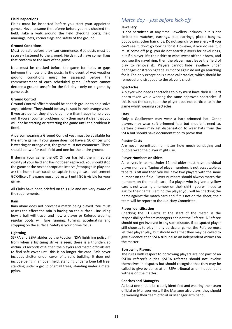#### **Field Inspections**

Fields must be inspected before you start your appointed games. Never assume the referee before you has checked the field. Take a walk around the field checking posts, field markings, nets, corner flags and safety of the ground.

#### **Ground Conditions**

Must be safe before play can commence. Goalposts must be securely fastened to the ground. Fields must have comer flags that conform to the laws of the game.

Nets must be checked before the game for holes or gaps between the nets and the posts. In the event of wet weather ground conditions must be assessed before the commencement of each scheduled game. Referees cannot declare a ground unsafe for the full day - only on a game by game basis.

#### **Ground Control**

Ground Control officers should be at each ground to help solve any problems. They should be easy to spot in their orange vests. If you are polite, they should be more than happy to help you out. If you encounter problems, only then make it clear that you will not be starting or restarting the game until the problem is fixed.

A person wearing a Ground Control vest must be available for the entire game. If your game does not have a GC officer who is wearing an orange vest, the game must not commence. There should be two for each field and one for the entire ground.

If during your game the GC Officer has left the immediate vicinity of your field and has not been replaced. You should stop the game at the next appropriate interval/stoppage in play and ask the home team coach or captain to organise a replacement GC Officer. The game must not restart until GC is visible for your game.

All Clubs have been briefed on this rule and are very aware of the requirements.

#### **Rain**

Rain alone does not prevent a match being played. You must assess the effect the rain is having on the surface - including how a ball will travel and how a player or Referee wearing regular boots will fare running, turning, accelerating and stopping on the surface. Safety is your prime focus.

#### **Lightning**

SSFRA and SSFA abides by the Football NSW lightning policy. If from when a lightning strike is seen, there is a thunderclap within 30 seconds of it, then the players and match officials are to find safe cover until this is no longer the case. Safe cover includes shelter under cover of a solid building. It does not include being in an open field, standing under a lone tall tree, standing under a group of small trees, standing under a metal pylon.

## *Match day – just before kick-off*

#### **Jewellery**

Is not permitted at any time. Jewellery includes, but is not limited to, watches, earrings, stud earrings, plastic bangles, bobby pins, other hair clips. Do not search for jewellery – If you can't see it, don't go looking for it. However, if you do see it, it must come off (e.g. you do not search players for navel rings, but if a player lifts their shirt to wipe sweat off their brow, and you see the navel ring, then the player must leave the field of play to remove it). Players cannot hide jewellery under bandages or strapping tape. But once again do not go searching for it. The only exception is a medical bracelet, which should be removed and strapped to the player's chest.

#### **Spectacles**

A player who needs spectacles to play must have their ID Card photo taken while wearing the same approved spectacles. If this is not the case, then the player does not participate in the game whilst wearing spectacles.

#### **Hats**

Only a Goalkeeper may wear a hard-brimmed hat. Other players may wear soft brimmed hats but shouldn't need to. Certain players may get dispensation to wear hats from the SSFA but should have documentation to prove that.

#### **Plaster Casts**

Are never permitted, no matter how much bandaging and bubble wrap the player might use.

#### **Player Numbers on Shirts**

All players in teams Under 12 and older must have individual player numbers. Taping of player numbers is not acceptable as tape falls off and then you will have two players with the same number on the field. Player numbers should always match the numbers on the match card. If a player who is given a yellow card is not wearing a number on their shirt - you will need to ask for their name. Remind the player you will be checking the name against the match card and if it is not on the sheet, their team will be report to the Judiciary Committee.

#### **Player identification**

Checking the ID Cards at the start of the match is the responsibility of team managers and not the Referee. A Referee should not get involved in any such dispute. If a disputed player still chooses to play in any particular game, the Referee must let that player play, but should note that they may be called to give evidence at an SSFA tribunal as an independent witness on the matter.

#### **Borrowing Players**

The rules with respect to borrowing players are not part of an SSFRA referee's duties. SSFRA referees should not involve themselves in disputes but should recognise that they may be called to give evidence at an SSFA tribunal as an independent witness on the matter.

#### **Coaches and Managers**

At least one should be clearly identified and wearing their team official or Manager vest. If the Manager also plays, they should be wearing their team official or Manager arm band.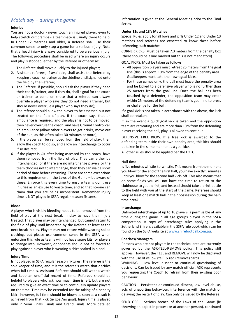## *Match day – during the game*

#### **Injuries**

You are not a doctor - never touch an injured player, even to help stretch out cramps - a teammate is usually there to help. In Under 12 matches and older, a Referee shall use their common sense to only stop a game for a serious injury. Note that a head injury is always considered to be a serious injury. The following procedure shall be used where an injury occurs and play is stopped, either by the Referee or otherwise:

- 1. The Referee shall move quickly to the injured player;
- 2. Assistant referees, if available, shall assist the Referee by keeping a coach or trainer at the sideline until signalled onto the field by the Referee;
- 3. The Referee, if possible, should ask the player if they need their coach/trainer, and if they do, shall signal for the coach or trainer to come on (note that a referee can always overrule a player who says they do not need a trainer, but should never overrule a player who says they do);
- 4. The referee should allow the player to be assessed but not treated on the field of play. If the coach says that an ambulance is required, and the player is not to be moved, then never overrule the coach, and have Ground Control call an ambulance (allow other players to get drinks, move out of the sun, as this often takes 30 minutes or more);
- 5. If the player can be removed from the field of play, then allow the coach to do so, and allow an interchange to occur if so desired;
- 6. If the player is OK after being assessed by the coach, have them removed from the field of play. They can either be interchanged, or if there are no interchange players or the team chooses not to interchange, then they can wait a short period of time before returning. There are some exceptions to this requirement in the Laws of the Game – be aware of these. Enforce this every time to ensure teams don't use injuries as an excuse to waste time, and so that no-one can claim that you are being inconsistent. Remember injury time is NOT played in SSFA regular season fixtures.

#### **Blood**

A player who is visibly bleeding needs to be removed from the field of play at the next break in play to have their injury treated. That player may be interchanged, but cannot return to the field of play until inspected by the Referee at least at the next break in play. Players may not return while wearing soiled clothing, but please use common sense in the SSFA when enforcing this rule as teams will not have spare kits for players to change into. However, opponents should not be forced to play against a player who is wearing a shirt soaked in blood.

#### **Injury Time**

Is not played in SSFA regular season fixtures. The referee is the sole keeper of time, and it is the referee's watch that decides when full time is. Assistant Referees should still wear a watch and keep an unofficial record of time. Referees should be helpful to players who ask how much time is left, but are not required to give an exact time or to continually update players on the time. Time may be extended for the taking of a penalty kick - however, full time should be blown as soon as a result is achieved from that kick (ie goal/no goal). Injury time is played only in Semi Finals, Finals and Grand Finals. More detailed information is given at the General Meeting prior to the Final Series.

#### **Under 12s and 13's Matches**

Special Rules apply for all boys and girls Under 12 and Under 13 matches and referees are expected to know these before refereeing such matches.

CORNER KICKS: Must be taken 7.3 meters from the penalty box (there should be a line marked but this is not mandatory).

GOAL KICKS: Must be taken as follows:

- All opposition players must retreat 25 meters from the goal line (this is approx. 10m from the edge of the penalty area.
- Goalkeepers must take their own goal kicks.
- For these games only, the ball must leave the penalty area and be kicked to a defensive player who is no further than 25 meters from the goal line. Once the ball has been touched by a defender, the opposition team may enter within 25 meters of the defending team's goal-line to press or challenge for the ball.

If a goal kick is not taken in accordance with the above, the kick shall be retaken.

If, in the event a quick goal kick is taken and the opposition team are retreating and are more than 10m from the defending player receiving the ball, play is allowed to continue.

DEFENSIVE FREE KICKS: If a free kick is awarded to the defending team inside their own penalty area, this kick should be taken in the same manner as a goal kick.

All other rules should be applied per the LOTG.

#### **Half time**

Is five minutes whistle-to-whistle. This means from the moment you blow for the end of the first half, you have exactly 5 minutes until you blow for the second half kick- off. This also means that on some fields you will not have the time to return to the clubhouse to get a drink, and instead should take a drink bottle to the field with you at the start of the game. Referees should keep at least one match ball in their possession during the halftime break.

#### **Interchange**

Unlimited interchange of up to 16 players is permissible at any time during the game in all age groups played in the SSFA competition. A copy of Interchange rules applying in the Sutherland Shire is available in the SSFA rule book which can be found on the SSFA website at [www.shirefootball.com.au.](http://www.shirefootball.com.au/)

#### **Coaches/Managers**

Persons who are not players in the technical area are currently governed by the ASK-TELL-REMOVE policy. This policy still applies. However, the TELL and REMOVE will now be displayed with the use of yellow (tell) & red (remove) cards.

WARNING – Low level dissent or continual questioning of decisions. Can be issued by any match official. ASK represents you requesting the Coach to refrain from their existing poor behaviour.

CAUTION – Persistent or continued dissent, low level abuse, acts of unsporting behaviour, interference with the match or delaying the restart of play. Can only be issued by the Referee.

SEND OFF – Serious breach of the Laws of the Game (ie throwing an object in protest or at another person), continued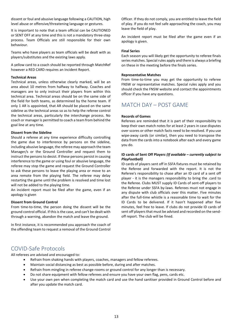dissent or foul and abusive language following a CAUTION, high level abuse or offensive/threatening language or gestures.

It is important to note that a team official can be CAUTIONED or SENT OFF at any time and this is not a mandatory three-step process. Team Officials are still responsible for their own behaviour.

Teams who have players as team officials will be dealt with as players/substitutes and the existing laws apply.

A yellow card to a coach should be reported through MatchRef however a RED CARD requires an Incident Report.

#### **Technical Areas**

Technical areas, unless otherwise clearly marked, will be an area about 10 metres from halfway to halfway. Coaches and managers are to only instruct their players from within this technical area. Technical areas should be on the same side of the field for both teams, as determined by the home team. If only 1 AR is appointed, that AR should be placed on the same sideline as the technical areas so as to help the referee control the technical areas, particularly the interchange process. No coach or manager is permitted to coach a team from behind the goal line at any time.

#### **Dissent from the Sideline**

Should a referee at any time experience difficulty controlling the game due to interference by persons on the sideline, including abusive language, the referee may approach the team Manager/s or the Ground Controller and request them to instruct the persons to desist. If these persons persist in causing interference to the game or using foul or abusive language, the referee may stop the game and request the Ground Controller to ask these persons to leave the playing area or move to an area remote from the playing field. The referee may delay restarting the game until the problem is resolved and time lost will not be added to the playing time.

An incident report must be filed after the game, even if an apology is given

#### **Dissent from Ground Control**

From time-to-time, the person doing the dissent will be the ground control official. If this is the case, and can't be dealt with through a warning, abandon the match and leave the ground.

In first instance, it is recommended you approach the coach of the offending team to request a removal of the Ground Control Officer. If they do not comply, you are entitled to leave the field of play. If you do not feel safe approaching the coach, you may leave the field of play.

An incident report must be filed after the game even if an apology is given.

#### **Final Series**

Each season you will likely get the opportunity to referee finals series matches. Special rules apply and there is always a briefing on these in the meeting before the finals series.

#### **Representative Matches**

From time-to-time you may get the opportunity to referee FNSW or representative matches. Special rules apply and you should check the FNSW website and contact the appointments officer if you have any questions.

## MATCH DAY – POST GAME

#### **Records of Games**

Referees are reminded that it is part of their responsibility to keep their own match notes for at least 2 years in case disputes over scores or other match facts need to be resolved. If you use wipe-away cards (or similar), then you need to transpose the data from the cards into a notebook after each and every game you do.

#### **ID cards of Sent Off Player***s (If available – currently subject to PlayFootball)*

ID cards of players sent off in SSFA fixtures must be retained by the Referee and forwarded with the report. It is not the Referee's responsibility to chase after an ID card of a sent off player - it is the managers responsibility to bring the .card to the Referee. Clubs MUST supply ID Cards of sent-off players to the Referee under SSFA by-laws. Referees must not engage in any dispute with club officials over this matter. Five minutes after the full-time whistle is a reasonable time to wait for the ID Cards to be delivered. If it hasn't happened after five minutes, feel free to leave. If clubs do not provide ID cards of sent off players that must be advised and recorded on the sendoff report. The club will be fined.

## COVID-Safe Protocols

All referees are advised and encouraged to:

- Refrain from shaking hands with players, coaches, managers and fellow referees.
- Maintain social distancing as best as possible before, during and after matches.
- Refrain from mingling in referee change-rooms or ground control for any longer than is necessary.
- Do not share equipment with fellow referees and ensure you have your own flag, pens, cards etc.
- Use your own pen when completing the match card and use the hand sanitiser provided in Ground Control before and after you update the match card.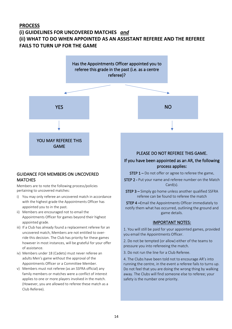## **PROCESS (i) GUIDELINES FOR UNCOVERED MATCHES** *and* **(ii) WHAT TO DO WHEN APPOINTED AS AN ASSISTANT REFEREE AND THE REFEREE FAILS TO TURN UP FOR THE GAME**



### GUIDANCE FOR MEMBERS ON UNCOVERED **MATCHES**

Members are to note the following process/policies pertaining to uncovered matches:

- i) You may only referee an uncovered match in accordance with the highest grade the Appointments Officer has appointed you to in the past.
- ii) Members are encouraged not to email the Appointments Officer for games beyond their highest appointed grade.
- iii) If a Club has already found a replacement referee for an uncovered match, Members are not entitled to override this decision. The Club has priority for these games however in most instances, will be grateful for your offer of assistance.
- iv) Members under 18 (Cadets) must never referee an adults Men's game without the approval of the Appointments Officer or a Committee Member.
- v) Members must not referee (as an SSFRA official) any family members or matches were a conflict of interest applies to one or more players involved in the match. (However, you are allowed to referee these match as a Club Referee).

## PLEASE DO NOT REFEREE THIS GAME.

### If you have been appointed as an AR, the following process applies:

- STEP 1 Do not offer or agree to referee the game.
- STEP 2 Put your name and referee number on the Match Card(s).
- STEP 3 Simply go home unless another qualified SSFRA referee can be found to referee the match

STEP 4 –Email the Appointments Officer immediately to notify them what has occurred, outlining the ground and game details.

#### IMPORTANT NOTES:

1. You will still be paid for your appointed games, provided you email the Appointments Officer.

2. Do not be tempted (or allow) either of the teams to pressure you into refereeing the match.

3. Do not run the line for a Club Referee.

4. The Clubs have been told not to encourage AR's into running the centre, in the event a referee fails to turns up. Do not feel that you are doing the wrong thing by walking away. The Clubs will find someone else to referee; your safety is the number one priority.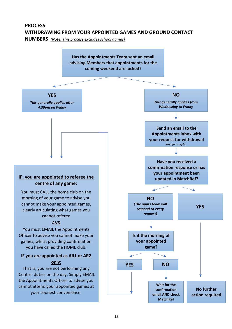# **PROCESS WITHDRAWING FROM YOUR APPOINTED GAMES AND GROUND CONTACT**

**NUMBERS** *(Note: This process excludes school games)*